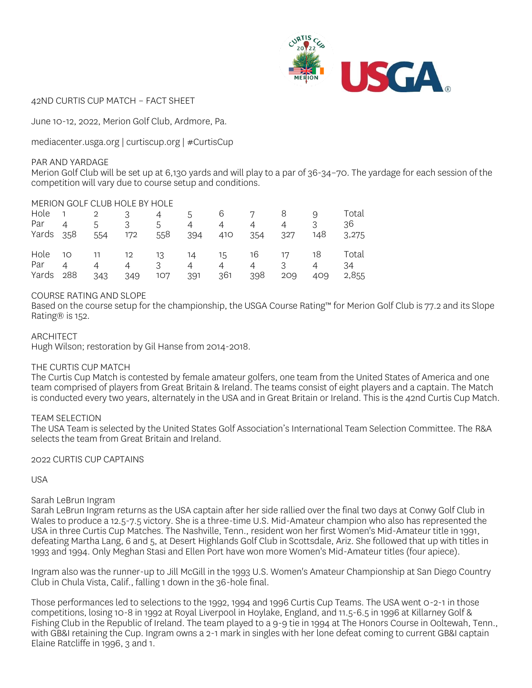

42ND CURTIS CUP MATCH – FACT SHEET

June 10-12, 2022, Merion Golf Club, Ardmore, Pa.

mediacenter.usga.org | curtiscup.org | #CurtisCup

### PAR AND YARDAGE

Merion Golf Club will be set up at 6,130 yards and will play to a par of 36-34–70. The yardage for each session of the competition will vary due to course setup and conditions.

## MERION GOLF CLUB HOLE BY HOLE

| Par<br>Yards 358 | Hole $1$ $2$ $3$<br>$\sim$ 4 | 5<br>554              | 3<br>172   | 4 5<br>5<br>558 | $\overline{4}$<br>394 | $\overline{4}$<br>410 | 6 7 8<br>$\overline{4}$<br>354 | $\overline{4}$<br>327                                                   | 9<br>3<br>148         | Total<br>36<br>3,275 |
|------------------|------------------------------|-----------------------|------------|-----------------|-----------------------|-----------------------|--------------------------------|-------------------------------------------------------------------------|-----------------------|----------------------|
| Par<br>Yards 288 | $\overline{4}$               | $\overline{4}$<br>343 | 4 3<br>349 | 107             | 4<br>391              | $\overline{4}$<br>361 | $\overline{4}$<br>398          | Hole 10 11 12 13 14 15 16 17 18 Total<br>$\overline{\mathbf{3}}$<br>209 | $\overline{4}$<br>409 | 34<br>2,855          |

## COURSE RATING AND SLOPE

Based on the course setup for the championship, the USGA Course Rating™ for Merion Golf Club is 77.2 and its Slope Rating® is 152.

ARCHITECT

Hugh Wilson; restoration by Gil Hanse from 2014-2018.

## THE CURTIS CUP MATCH

The Curtis Cup Match is contested by female amateur golfers, one team from the United States of America and one team comprised of players from Great Britain & Ireland. The teams consist of eight players and a captain. The Match is conducted every two years, alternately in the USA and in Great Britain or Ireland. This is the 42nd Curtis Cup Match.

## TEAM SELECTION

The USA Team is selected by the United States Golf Association's International Team Selection Committee. The R&A selects the team from Great Britain and Ireland.

2022 CURTIS CUP CAPTAINS

USA

## Sarah LeBrun Ingram

Sarah LeBrun Ingram returns as the USA captain after her side rallied over the final two days at Conwy Golf Club in Wales to produce a 12.5-7.5 victory. She is a three-time U.S. Mid-Amateur champion who also has represented the USA in three Curtis Cup Matches. The Nashville, Tenn., resident won her first Women's Mid-Amateur title in 1991, defeating Martha Lang, 6 and 5, at Desert Highlands Golf Club in Scottsdale, Ariz. She followed that up with titles in 1993 and 1994. Only Meghan Stasi and Ellen Port have won more Women's Mid-Amateur titles (four apiece).

Ingram also was the runner-up to Jill McGill in the 1993 U.S. Women's Amateur Championship at San Diego Country Club in Chula Vista, Calif., falling 1 down in the 36-hole final.

Those performances led to selections to the 1992, 1994 and 1996 Curtis Cup Teams. The USA went 0-2-1 in those competitions, losing 10-8 in 1992 at Royal Liverpool in Hoylake, England, and 11.5-6.5 in 1996 at Killarney Golf & Fishing Club in the Republic of Ireland. The team played to a 9-9 tie in 1994 at The Honors Course in Ooltewah, Tenn., with GB&I retaining the Cup. Ingram owns a 2-1 mark in singles with her lone defeat coming to current GB&I captain Elaine Ratcliffe in 1996, 3 and 1.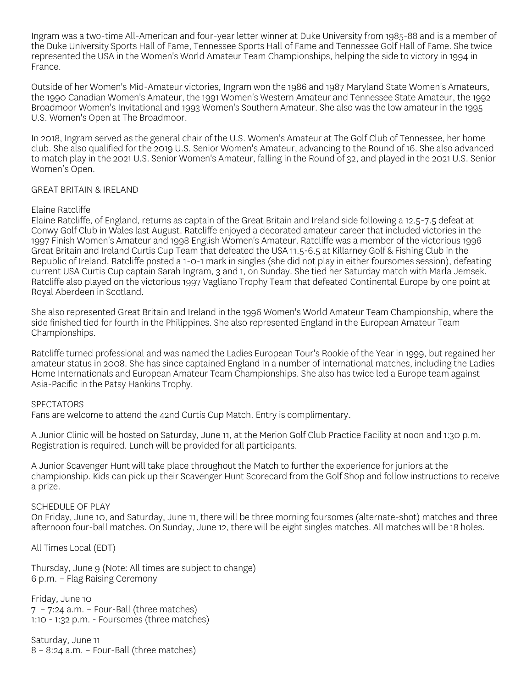Ingram was a two-time All-American and four-year letter winner at Duke University from 1985-88 and is a member of the Duke University Sports Hall of Fame, Tennessee Sports Hall of Fame and Tennessee Golf Hall of Fame. She twice represented the USA in the Women's World Amateur Team Championships, helping the side to victory in 1994 in France.

Outside of her Women's Mid-Amateur victories, Ingram won the 1986 and 1987 Maryland State Women's Amateurs, the 1990 Canadian Women's Amateur, the 1991 Women's Western Amateur and Tennessee State Amateur, the 1992 Broadmoor Women's Invitational and 1993 Women's Southern Amateur. She also was the low amateur in the 1995 U.S. Women's Open at The Broadmoor.

In 2018, Ingram served as the general chair of the U.S. Women's Amateur at The Golf Club of Tennessee, her home club. She also qualified for the 2019 U.S. Senior Women's Amateur, advancing to the Round of 16. She also advanced to match play in the 2021 U.S. Senior Women's Amateur, falling in the Round of 32, and played in the 2021 U.S. Senior Women's Open.

### GREAT BRITAIN & IRELAND

### Elaine Ratcliffe

Elaine Ratcliffe, of England, returns as captain of the Great Britain and Ireland side following a 12.5-7.5 defeat at Conwy Golf Club in Wales last August. Ratcliffe enjoyed a decorated amateur career that included victories in the 1997 Finish Women's Amateur and 1998 English Women's Amateur. Ratcliffe was a member of the victorious 1996 Great Britain and Ireland Curtis Cup Team that defeated the USA 11.5-6.5 at Killarney Golf & Fishing Club in the Republic of Ireland. Ratcliffe posted a 1-0-1 mark in singles (she did not play in either foursomes session), defeating current USA Curtis Cup captain Sarah Ingram, 3 and 1, on Sunday. She tied her Saturday match with Marla Jemsek. Ratcliffe also played on the victorious 1997 Vagliano Trophy Team that defeated Continental Europe by one point at Royal Aberdeen in Scotland.

She also represented Great Britain and Ireland in the 1996 Women's World Amateur Team Championship, where the side finished tied for fourth in the Philippines. She also represented England in the European Amateur Team Championships.

Ratcliffe turned professional and was named the Ladies European Tour's Rookie of the Year in 1999, but regained her amateur status in 2008. She has since captained England in a number of international matches, including the Ladies Home Internationals and European Amateur Team Championships. She also has twice led a Europe team against Asia-Pacific in the Patsy Hankins Trophy.

### **SPECTATORS**

Fans are welcome to attend the 42nd Curtis Cup Match. Entry is complimentary.

A Junior Clinic will be hosted on Saturday, June 11, at the Merion Golf Club Practice Facility at noon and 1:30 p.m. Registration is required. Lunch will be provided for all participants.

A Junior Scavenger Hunt will take place throughout the Match to further the experience for juniors at the championship. Kids can pick up their Scavenger Hunt Scorecard from the Golf Shop and follow instructions to receive a prize.

### SCHEDULE OF PLAY

On Friday, June 10, and Saturday, June 11, there will be three morning foursomes (alternate-shot) matches and three afternoon four-ball matches. On Sunday, June 12, there will be eight singles matches. All matches will be 18 holes.

All Times Local (EDT)

Thursday, June 9 (Note: All times are subject to change) 6 p.m. – Flag Raising Ceremony

Friday, June 10  $7 - 7:24$  a.m. – Four-Ball (three matches) 1:10 - 1:32 p.m. - Foursomes (three matches)

Saturday, June 11 8 – 8:24 a.m. – Four-Ball (three matches)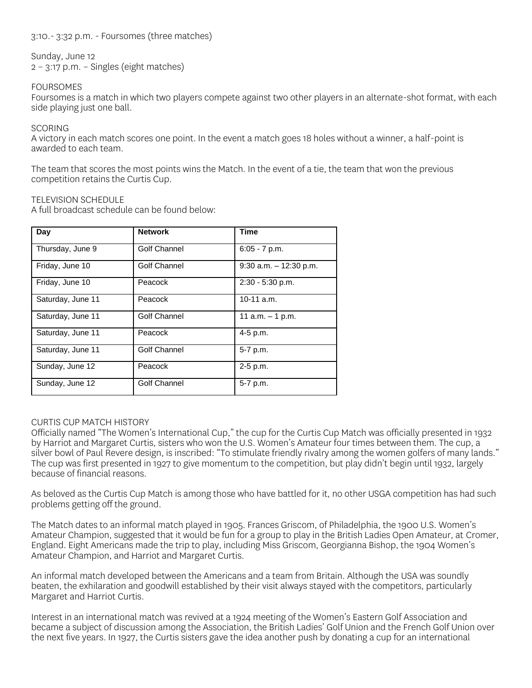3:10.- 3:32 p.m. - Foursomes (three matches)

Sunday, June 12 2 – 3:17 p.m. – Singles (eight matches)

FOURSOMES

Foursomes is a match in which two players compete against two other players in an alternate-shot format, with each side playing just one ball.

## **SCORING**

A victory in each match scores one point. In the event a match goes 18 holes without a winner, a half-point is awarded to each team.

The team that scores the most points wins the Match. In the event of a tie, the team that won the previous competition retains the Curtis Cup.

## TELEVISION SCHEDULE

A full broadcast schedule can be found below:

| Day               | <b>Network</b>      | <b>Time</b>               |
|-------------------|---------------------|---------------------------|
| Thursday, June 9  | Golf Channel        | $6:05 - 7$ p.m.           |
| Friday, June 10   | Golf Channel        | $9:30$ a.m. $-12:30$ p.m. |
| Friday, June 10   | Peacock             | 2:30 - 5:30 p.m.          |
| Saturday, June 11 | Peacock             | $10-11$ a.m.              |
| Saturday, June 11 | Golf Channel        | 11 a.m. $-$ 1 p.m.        |
| Saturday, June 11 | Peacock             | 4-5 p.m.                  |
| Saturday, June 11 | Golf Channel        | 5-7 p.m.                  |
| Sunday, June 12   | Peacock             | $2-5$ p.m.                |
| Sunday, June 12   | <b>Golf Channel</b> | 5-7 p.m.                  |

## CURTIS CUP MATCH HISTORY

Officially named "The Women's International Cup," the cup for the Curtis Cup Match was officially presented in 1932 by Harriot and Margaret Curtis, sisters who won the U.S. Women's Amateur four times between them. The cup, a silver bowl of Paul Revere design, is inscribed: "To stimulate friendly rivalry among the women golfers of many lands." The cup was first presented in 1927 to give momentum to the competition, but play didn't begin until 1932, largely because of financial reasons.

As beloved as the Curtis Cup Match is among those who have battled for it, no other USGA competition has had such problems getting off the ground.

The Match dates to an informal match played in 1905. Frances Griscom, of Philadelphia, the 1900 U.S. Women's Amateur Champion, suggested that it would be fun for a group to play in the British Ladies Open Amateur, at Cromer, England. Eight Americans made the trip to play, including Miss Griscom, Georgianna Bishop, the 1904 Women's Amateur Champion, and Harriot and Margaret Curtis.

An informal match developed between the Americans and a team from Britain. Although the USA was soundly beaten, the exhilaration and goodwill established by their visit always stayed with the competitors, particularly Margaret and Harriot Curtis.

Interest in an international match was revived at a 1924 meeting of the Women's Eastern Golf Association and became a subject of discussion among the Association, the British Ladies' Golf Union and the French Golf Union over the next five years. In 1927, the Curtis sisters gave the idea another push by donating a cup for an international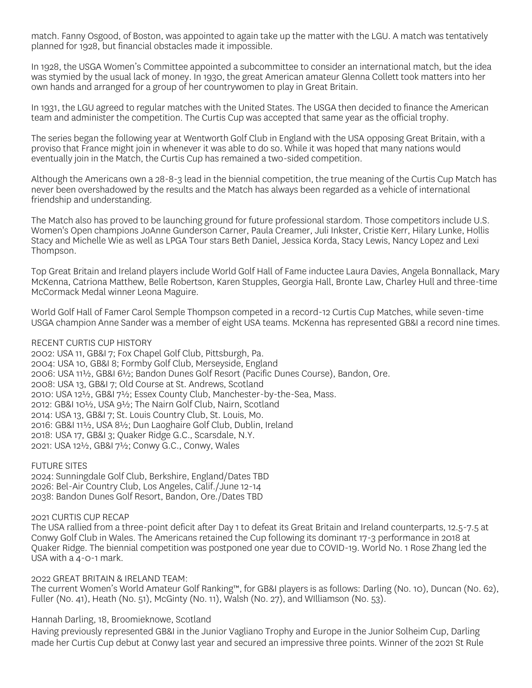match. Fanny Osgood, of Boston, was appointed to again take up the matter with the LGU. A match was tentatively planned for 1928, but financial obstacles made it impossible.

In 1928, the USGA Women's Committee appointed a subcommittee to consider an international match, but the idea was stymied by the usual lack of money. In 1930, the great American amateur Glenna Collett took matters into her own hands and arranged for a group of her countrywomen to play in Great Britain.

In 1931, the LGU agreed to regular matches with the United States. The USGA then decided to finance the American team and administer the competition. The Curtis Cup was accepted that same year as the official trophy.

The series began the following year at Wentworth Golf Club in England with the USA opposing Great Britain, with a proviso that France might join in whenever it was able to do so. While it was hoped that many nations would eventually join in the Match, the Curtis Cup has remained a two-sided competition.

Although the Americans own a 28-8-3 lead in the biennial competition, the true meaning of the Curtis Cup Match has never been overshadowed by the results and the Match has always been regarded as a vehicle of international friendship and understanding.

The Match also has proved to be launching ground for future professional stardom. Those competitors include U.S. Women's Open champions JoAnne Gunderson Carner, Paula Creamer, Juli Inkster, Cristie Kerr, Hilary Lunke, Hollis Stacy and Michelle Wie as well as LPGA Tour stars Beth Daniel, Jessica Korda, Stacy Lewis, Nancy Lopez and Lexi Thompson.

Top Great Britain and Ireland players include World Golf Hall of Fame inductee Laura Davies, Angela Bonnallack, Mary McKenna, Catriona Matthew, Belle Robertson, Karen Stupples, Georgia Hall, Bronte Law, Charley Hull and three-time McCormack Medal winner Leona Maguire.

World Golf Hall of Famer Carol Semple Thompson competed in a record-12 Curtis Cup Matches, while seven-time USGA champion Anne Sander was a member of eight USA teams. McKenna has represented GB&I a record nine times.

RECENT CURTIS CUP HISTORY

2002: USA 11, GB&I 7; Fox Chapel Golf Club, Pittsburgh, Pa. 2004: USA 10, GB&I 8; Formby Golf Club, Merseyside, England 2006: USA 11½, GB&I 6½; Bandon Dunes Golf Resort (Pacific Dunes Course), Bandon, Ore. 2008: USA 13, GB&I 7; Old Course at St. Andrews, Scotland 2010: USA 12½, GB&I 7½; Essex County Club, Manchester-by-the-Sea, Mass. 2012: GB&I 10½, USA 9½; The Nairn Golf Club, Nairn, Scotland 2014: USA 13, GB&I 7; St. Louis Country Club, St. Louis, Mo. 2016: GB&I 11½, USA 8½; Dun Laoghaire Golf Club, Dublin, Ireland 2018: USA 17, GB&I 3; Quaker Ridge G.C., Scarsdale, N.Y. 2021: USA 12½, GB&I 7½; Conwy G.C., Conwy, Wales

FUTURE SITES

2024: Sunningdale Golf Club, Berkshire, England/Dates TBD 2026: Bel-Air Country Club, Los Angeles, Calif./June 12-14 2038: Bandon Dunes Golf Resort, Bandon, Ore./Dates TBD

## 2021 CURTIS CUP RECAP

The USA rallied from a three-point deficit after Day 1 to defeat its Great Britain and Ireland counterparts, 12.5-7.5 at Conwy Golf Club in Wales. The Americans retained the Cup following its dominant 17-3 performance in 2018 at Quaker Ridge. The biennial competition was postponed one year due to COVID-19. World No. 1 Rose Zhang led the USA with a 4-0-1 mark.

### 2022 GREAT BRITAIN & IRELAND TEAM:

The current Women's World Amateur Golf Ranking™, for GB&I players is as follows: Darling (No. 10), Duncan (No. 62), Fuller (No. 41), Heath (No. 51), McGinty (No. 11), Walsh (No. 27), and WIlliamson (No. 53).

Hannah Darling, 18, Broomieknowe, Scotland

Having previously represented GB&I in the Junior Vagliano Trophy and Europe in the Junior Solheim Cup, Darling made her Curtis Cup debut at Conwy last year and secured an impressive three points. Winner of the 2021 St Rule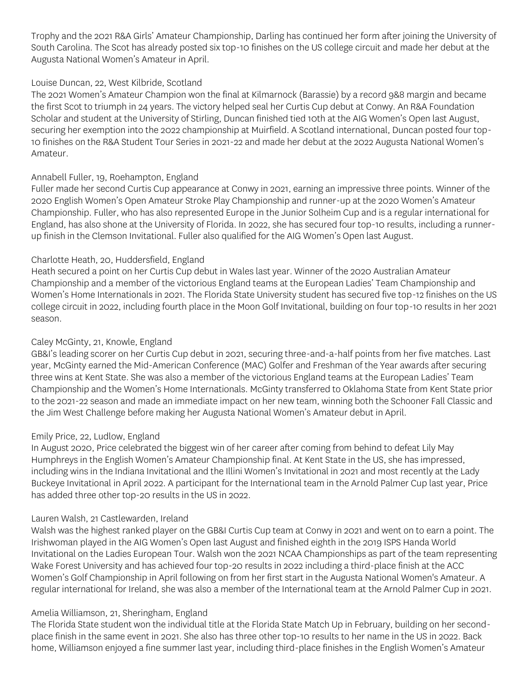Trophy and the 2021 R&A Girls' Amateur Championship, Darling has continued her form after joining the University of South Carolina. The Scot has already posted six top-10 finishes on the US college circuit and made her debut at the Augusta National Women's Amateur in April.

## Louise Duncan, 22, West Kilbride, Scotland

The 2021 Women's Amateur Champion won the final at Kilmarnock (Barassie) by a record 9&8 margin and became the first Scot to triumph in 24 years. The victory helped seal her Curtis Cup debut at Conwy. An R&A Foundation Scholar and student at the University of Stirling, Duncan finished tied 10th at the AIG Women's Open last August, securing her exemption into the 2022 championship at Muirfield. A Scotland international, Duncan posted four top-10 finishes on the R&A Student Tour Series in 2021-22 and made her debut at the 2022 Augusta National Women's Amateur.

# Annabell Fuller, 19, Roehampton, England

Fuller made her second Curtis Cup appearance at Conwy in 2021, earning an impressive three points. Winner of the 2020 English Women's Open Amateur Stroke Play Championship and runner-up at the 2020 Women's Amateur Championship. Fuller, who has also represented Europe in the Junior Solheim Cup and is a regular international for England, has also shone at the University of Florida. In 2022, she has secured four top-10 results, including a runnerup finish in the Clemson Invitational. Fuller also qualified for the AIG Women's Open last August.

# Charlotte Heath, 20, Huddersfield, England

Heath secured a point on her Curtis Cup debut in Wales last year. Winner of the 2020 Australian Amateur Championship and a member of the victorious England teams at the European Ladies' Team Championship and Women's Home Internationals in 2021. The Florida State University student has secured five top-12 finishes on the US college circuit in 2022, including fourth place in the Moon Golf Invitational, building on four top-10 results in her 2021 season.

# Caley McGinty, 21, Knowle, England

GB&I's leading scorer on her Curtis Cup debut in 2021, securing three-and-a-half points from her five matches. Last year, McGinty earned the Mid-American Conference (MAC) Golfer and Freshman of the Year awards after securing three wins at Kent State. She was also a member of the victorious England teams at the European Ladies' Team Championship and the Women's Home Internationals. McGinty transferred to Oklahoma State from Kent State prior to the 2021-22 season and made an immediate impact on her new team, winning both the Schooner Fall Classic and the Jim West Challenge before making her Augusta National Women's Amateur debut in April.

## Emily Price, 22, Ludlow, England

In August 2020, Price celebrated the biggest win of her career after coming from behind to defeat Lily May Humphreys in the English Women's Amateur Championship final. At Kent State in the US, she has impressed, including wins in the Indiana Invitational and the Illini Women's Invitational in 2021 and most recently at the Lady Buckeye Invitational in April 2022. A participant for the International team in the Arnold Palmer Cup last year, Price has added three other top-20 results in the US in 2022.

## Lauren Walsh, 21 Castlewarden, Ireland

Walsh was the highest ranked player on the GB&I Curtis Cup team at Conwy in 2021 and went on to earn a point. The Irishwoman played in the AIG Women's Open last August and finished eighth in the 2019 ISPS Handa World Invitational on the Ladies European Tour. Walsh won the 2021 NCAA Championships as part of the team representing Wake Forest University and has achieved four top-20 results in 2022 including a third-place finish at the ACC Women's Golf Championship in April following on from her first start in the Augusta National Women's Amateur. A regular international for Ireland, she was also a member of the International team at the Arnold Palmer Cup in 2021.

# Amelia Williamson, 21, Sheringham, England

The Florida State student won the individual title at the Florida State Match Up in February, building on her secondplace finish in the same event in 2021. She also has three other top-10 results to her name in the US in 2022. Back home, Williamson enjoyed a fine summer last year, including third-place finishes in the English Women's Amateur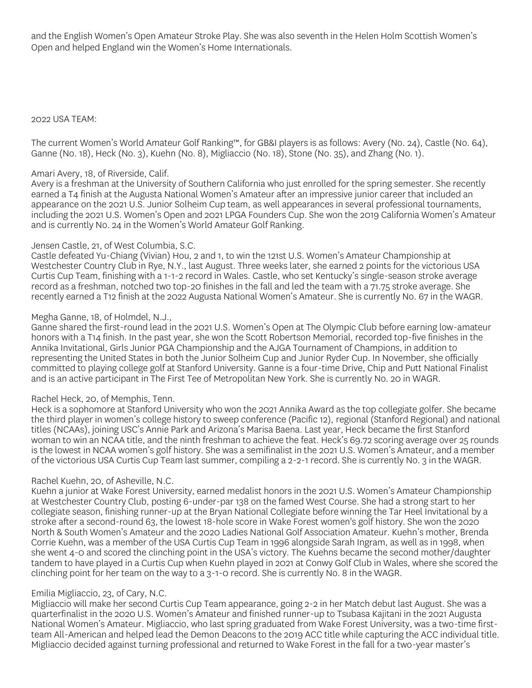and the English Women's Open Amateur Stroke Play. She was also seventh in the Helen Holm Scottish Women's Open and helped England win the Women's Home Internationals.

## 2022 USA TEAM:

The current Women's World Amateur Golf Ranking™, for GB&I players is as follows: Avery (No. 24), Castle (No. 64), Ganne (No. 18), Heck (No. 3), Kuehn (No. 8), Migliaccio (No. 18), Stone (No. 35), and Zhang (No. 1).

## Amari Avery, 18, of Riverside, Calif.

Avery is a freshman at the University of Southern California who just enrolled for the spring semester. She recently earned a T4 finish at the Augusta National Women's Amateur after an impressive junior career that included an appearance on the 2021 U.S. Junior Solheim Cup team, as well appearances in several professional tournaments, including the 2021 U.S. Women's Open and 2021 LPGA Founders Cup. She won the 2019 California Women's Amateur and is currently No. 24 in the Women's World Amateur Golf Ranking.

## Jensen Castle, 21, of West Columbia, S.C.

Castle defeated Yu-Chiang (Vivian) Hou, 2 and 1, to win the 121st U.S. Women's Amateur Championship at Westchester Country Club in Rye, N.Y., last August. Three weeks later, she earned 2 points for the victorious USA Curtis Cup Team, finishing with a 1-1-2 record in Wales. Castle, who set Kentucky's single-season stroke average record as a freshman, notched two top-20 finishes in the fall and led the team with a 71.75 stroke average. She recently earned a T12 finish at the 2022 Augusta National Women's Amateur. She is currently No. 67 in the WAGR.

## Megha Ganne, 18, of Holmdel, N.J.,

Ganne shared the first-round lead in the 2021 U.S. Women's Open at The Olympic Club before earning low-amateur honors with a T14 finish. In the past year, she won the Scott Robertson Memorial, recorded top-five finishes in the Annika Invitational, Girls Junior PGA Championship and the AJGA Tournament of Champions, in addition to representing the United States in both the Junior Solheim Cup and Junior Ryder Cup. In November, she officially committed to playing college golf at Stanford University. Ganne is a four-time Drive, Chip and Putt National Finalist and is an active participant in The First Tee of Metropolitan New York. She is currently No. 20 in WAGR.

## Rachel Heck, 20, of Memphis, Tenn.

Heck is a sophomore at Stanford University who won the 2021 Annika Award as the top collegiate golfer. She became the third player in women's college history to sweep conference (Pacific 12), regional (Stanford Regional) and national titles (NCAAs), joining USC's Annie Park and Arizona's Marisa Baena. Last year, Heck became the first Stanford woman to win an NCAA title, and the ninth freshman to achieve the feat. Heck's 69.72 scoring average over 25 rounds is the lowest in NCAA women's golf history. She was a semifinalist in the 2021 U.S. Women's Amateur, and a member of the victorious USA Curtis Cup Team last summer, compiling a 2-2-1 record. She is currently No. 3 in the WAGR.

## Rachel Kuehn, 20, of Asheville, N.C.

Kuehn a junior at Wake Forest University, earned medalist honors in the 2021 U.S. Women's Amateur Championship at Westchester Country Club, posting 6-under-par 138 on the famed West Course. She had a strong start to her collegiate season, finishing runner-up at the Bryan National Collegiate before winning the Tar Heel Invitational by a stroke after a second-round 63, the lowest 18-hole score in Wake Forest women's golf history. She won the 2020 North & South Women's Amateur and the 2020 Ladies National Golf Association Amateur. Kuehn's mother, Brenda Corrie Kuehn, was a member of the USA Curtis Cup Team in 1996 alongside Sarah Ingram, as well as in 1998, when she went 4-0 and scored the clinching point in the USA's victory. The Kuehns became the second mother/daughter tandem to have played in a Curtis Cup when Kuehn played in 2021 at Conwy Golf Club in Wales, where she scored the clinching point for her team on the way to a 3-1-0 record. She is currently No. 8 in the WAGR.

## Emilia Migliaccio, 23, of Cary, N.C.

Migliaccio will make her second Curtis Cup Team appearance, going 2-2 in her Match debut last August. She was a quarterfinalist in the 2020 U.S. Women's Amateur and finished runner-up to Tsubasa Kajitani in the 2021 Augusta National Women's Amateur. Migliaccio, who last spring graduated from Wake Forest University, was a two-time firstteam All-American and helped lead the Demon Deacons to the 2019 ACC title while capturing the ACC individual title. Migliaccio decided against turning professional and returned to Wake Forest in the fall for a two-year master's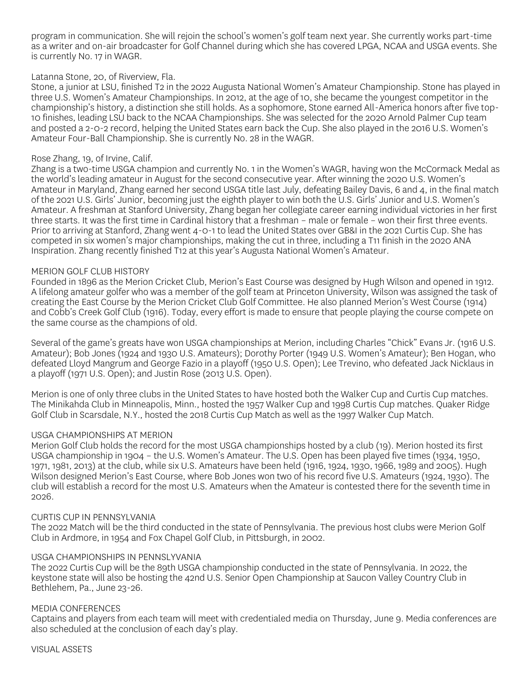program in communication. She will rejoin the school's women's golf team next year. She currently works part-time as a writer and on-air broadcaster for Golf Channel during which she has covered LPGA, NCAA and USGA events. She is currently No. 17 in WAGR.

### Latanna Stone, 20, of Riverview, Fla.

Stone, a junior at LSU, finished T2 in the 2022 Augusta National Women's Amateur Championship. Stone has played in three U.S. Women's Amateur Championships. In 2012, at the age of 10, she became the youngest competitor in the championship's history, a distinction she still holds. As a sophomore, Stone earned All-America honors after five top-10 finishes, leading LSU back to the NCAA Championships. She was selected for the 2020 Arnold Palmer Cup team and posted a 2-0-2 record, helping the United States earn back the Cup. She also played in the 2016 U.S. Women's Amateur Four-Ball Championship. She is currently No. 28 in the WAGR.

### Rose Zhang, 19, of Irvine, Calif.

Zhang is a two-time USGA champion and currently No. 1 in the Women's WAGR, having won the McCormack Medal as the world's leading amateur in August for the second consecutive year. After winning the 2020 U.S. Women's Amateur in Maryland, Zhang earned her second USGA title last July, defeating Bailey Davis, 6 and 4, in the final match of the 2021 U.S. Girls' Junior, becoming just the eighth player to win both the U.S. Girls' Junior and U.S. Women's Amateur. A freshman at Stanford University, Zhang began her collegiate career earning individual victories in her first three starts. It was the first time in Cardinal history that a freshman – male or female – won their first three events. Prior to arriving at Stanford, Zhang went 4-0-1 to lead the United States over GB&I in the 2021 Curtis Cup. She has competed in six women's major championships, making the cut in three, including a T11 finish in the 2020 ANA Inspiration. Zhang recently finished T12 at this year's Augusta National Women's Amateur.

### MERION GOLF CLUB HISTORY

Founded in 1896 as the Merion Cricket Club, Merion's East Course was designed by Hugh Wilson and opened in 1912. A lifelong amateur golfer who was a member of the golf team at Princeton University, Wilson was assigned the task of creating the East Course by the Merion Cricket Club Golf Committee. He also planned Merion's West Course (1914) and Cobb's Creek Golf Club (1916). Today, every effort is made to ensure that people playing the course compete on the same course as the champions of old.

Several of the game's greats have won USGA championships at Merion, including Charles "Chick" Evans Jr. (1916 U.S. Amateur); Bob Jones (1924 and 1930 U.S. Amateurs); Dorothy Porter (1949 U.S. Women's Amateur); Ben Hogan, who defeated Lloyd Mangrum and George Fazio in a playoff (1950 U.S. Open); Lee Trevino, who defeated Jack Nicklaus in a playoff (1971 U.S. Open); and Justin Rose (2013 U.S. Open).

Merion is one of only three clubs in the United States to have hosted both the Walker Cup and Curtis Cup matches. The Minikahda Club in Minneapolis, Minn., hosted the 1957 Walker Cup and 1998 Curtis Cup matches. Quaker Ridge Golf Club in Scarsdale, N.Y., hosted the 2018 Curtis Cup Match as well as the 1997 Walker Cup Match.

### USGA CHAMPIONSHIPS AT MERION

Merion Golf Club holds the record for the most USGA championships hosted by a club (19). Merion hosted its first USGA championship in 1904 – the U.S. Women's Amateur. The U.S. Open has been played five times (1934, 1950, 1971, 1981, 2013) at the club, while six U.S. Amateurs have been held (1916, 1924, 1930, 1966, 1989 and 2005). Hugh Wilson designed Merion's East Course, where Bob Jones won two of his record five U.S. Amateurs (1924, 1930). The club will establish a record for the most U.S. Amateurs when the Amateur is contested there for the seventh time in 2026.

### CURTIS CUP IN PENNSYLVANIA

The 2022 Match will be the third conducted in the state of Pennsylvania. The previous host clubs were Merion Golf Club in Ardmore, in 1954 and Fox Chapel Golf Club, in Pittsburgh, in 2002.

### USGA CHAMPIONSHIPS IN PENNSLYVANIA

The 2022 Curtis Cup will be the 89th USGA championship conducted in the state of Pennsylvania. In 2022, the keystone state will also be hosting the 42nd U.S. Senior Open Championship at Saucon Valley Country Club in Bethlehem, Pa., June 23-26.

### MEDIA CONFERENCES

Captains and players from each team will meet with credentialed media on Thursday, June 9. Media conferences are also scheduled at the conclusion of each day's play.